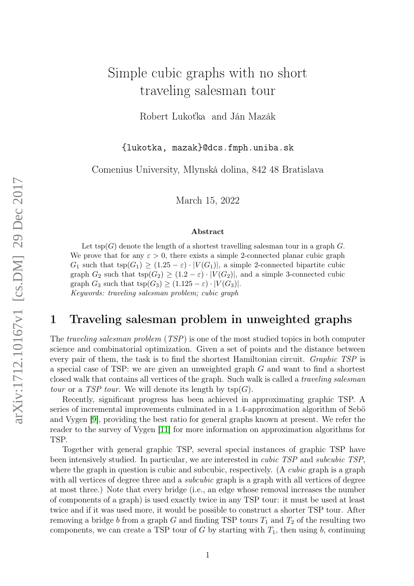# Simple cubic graphs with no short traveling salesman tour

Robert Lukoťka and Ján Mazák

#### {lukotka, mazak}@dcs.fmph.uniba.sk

Comenius University, Mlynská dolina, 842 48 Bratislava

March 15, 2022

#### Abstract

Let  $tsp(G)$  denote the length of a shortest travelling salesman tour in a graph G. We prove that for any  $\varepsilon > 0$ , there exists a simple 2-connected planar cubic graph  $G_1$  such that tsp $(G_1) \geq (1.25 - \varepsilon) \cdot |V(G_1)|$ , a simple 2-connected bipartite cubic graph  $G_2$  such that  $tsp(G_2) \geq (1.2 - \varepsilon) \cdot |V(G_2)|$ , and a simple 3-connected cubic graph  $G_3$  such that  $tsp(G_3) \geq (1.125 - \varepsilon) \cdot |V(G_3)|$ . Keywords: traveling salesman problem; cubic graph

## 1 Traveling salesman problem in unweighted graphs

The *traveling salesman problem* (*TSP*) is one of the most studied topics in both computer science and combinatorial optimization. Given a set of points and the distance between every pair of them, the task is to find the shortest Hamiltonian circuit. *Graphic TSP* is a special case of TSP: we are given an unweighted graph G and want to find a shortest closed walk that contains all vertices of the graph. Such walk is called a traveling salesman tour or a TSP tour. We will denote its length by  $tsp(G)$ .

Recently, significant progress has been achieved in approximating graphic TSP. A series of incremental improvements culminated in a 1.4-approximation algorithm of Sebö and Vygen [\[9\]](#page-6-0), providing the best ratio for general graphs known at present. We refer the reader to the survey of Vygen [\[11\]](#page-6-1) for more information on approximation algorithms for TSP.

Together with general graphic TSP, several special instances of graphic TSP have been intensively studied. In particular, we are interested in cubic TSP and subcubic TSP, where the graph in question is cubic and subcubic, respectively. (A *cubic* graph is a graph with all vertices of degree three and a *subcubic* graph is a graph with all vertices of degree at most three.) Note that every bridge (i.e., an edge whose removal increases the number of components of a graph) is used exactly twice in any TSP tour: it must be used at least twice and if it was used more, it would be possible to construct a shorter TSP tour. After removing a bridge b from a graph G and finding TSP tours  $T_1$  and  $T_2$  of the resulting two components, we can create a TSP tour of  $G$  by starting with  $T_1$ , then using  $b$ , continuing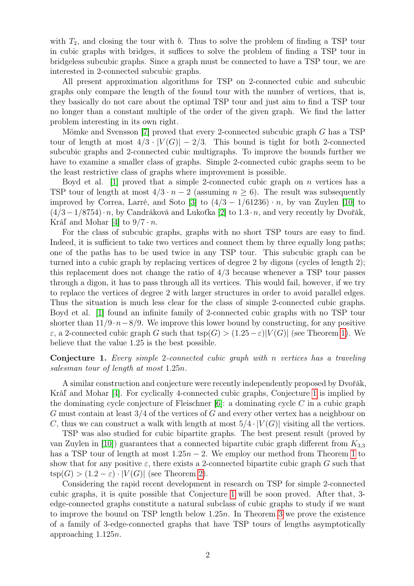with  $T_2$ , and closing the tour with b. Thus to solve the problem of finding a TSP tour in cubic graphs with bridges, it suffices to solve the problem of finding a TSP tour in bridgeless subcubic graphs. Since a graph must be connected to have a TSP tour, we are interested in 2-connected subcubic graphs.

All present approximation algorithms for TSP on 2-connected cubic and subcubic graphs only compare the length of the found tour with the number of vertices, that is, they basically do not care about the optimal TSP tour and just aim to find a TSP tour no longer than a constant multiple of the order of the given graph. We find the latter problem interesting in its own right.

Mömke and Svensson [\[7\]](#page-6-2) proved that every 2-connected subcubic graph G has a TSP tour of length at most  $4/3 \cdot |V(G)| - 2/3$ . This bound is tight for both 2-connected subcubic graphs and 2-connected cubic multigraphs. To improve the bounds further we have to examine a smaller class of graphs. Simple 2-connected cubic graphs seem to be the least restrictive class of graphs where improvement is possible.

Boyd et al. [\[1\]](#page-5-0) proved that a simple 2-connected cubic graph on n vertices has a TSP tour of length at most  $4/3 \cdot n - 2$  (assuming  $n \ge 6$ ). The result was subsequently improved by Correa, Larré, and Soto [\[3\]](#page-5-1) to  $(4/3 - 1/61236) \cdot n$ , by van Zuylen [\[10\]](#page-6-3) to  $(4/3-1/8754) \cdot n$ , by Candráková and Lukoťka [\[2\]](#page-5-2) to  $1.3 \cdot n$ , and very recently by Dvořák, Kráľ and Mohar [\[4\]](#page-5-3) to  $9/7 \cdot n$ .

For the class of subcubic graphs, graphs with no short TSP tours are easy to find. Indeed, it is sufficient to take two vertices and connect them by three equally long paths; one of the paths has to be used twice in any TSP tour. This subcubic graph can be turned into a cubic graph by replacing vertices of degree 2 by digons (cycles of length 2); this replacement does not change the ratio of 4/3 because whenever a TSP tour passes through a digon, it has to pass through all its vertices. This would fail, however, if we try to replace the vertices of degree 2 with larger structures in order to avoid parallel edges. Thus the situation is much less clear for the class of simple 2-connected cubic graphs. Boyd et al. [\[1\]](#page-5-0) found an infinite family of 2-connected cubic graphs with no TSP tour shorter than  $11/9 \cdot n - 8/9$ . We improve this lower bound by constructing, for any positive  $ε$ , a 2-connected cubic graph G such that tsp(G) > (1.25 − ε)|V(G)| (see Theorem [1\)](#page-3-0). We believe that the value 1.25 is the best possible.

### <span id="page-1-0"></span>Conjecture 1. Every simple 2-connected cubic graph with n vertices has a traveling salesman tour of length at most 1.25n.

A similar construction and conjecture were recently independently proposed by Dvořák, Kráľ and Mohar [\[4\]](#page-5-3). For cyclically 4-connected cubic graphs, Conjecture [1](#page-1-0) is implied by the dominating cycle conjecture of Fleischner  $[6]$ : a dominating cycle C in a cubic graph G must contain at least  $3/4$  of the vertices of G and every other vertex has a neighbour on C, thus we can construct a walk with length at most  $5/4 \cdot |V(G)|$  visiting all the vertices.

TSP was also studied for cubic bipartite graphs. The best present result (proved by van Zuylen in [\[10\]](#page-6-3)) guarantees that a connected bipartite cubic graph different from  $K_{3,3}$ has a TSP tour of length at most  $1.25n - 2$ . We employ our method from Theorem [1](#page-3-0) to show that for any positive  $\varepsilon$ , there exists a 2-connected bipartite cubic graph G such that  $tsp(G) > (1.2 - \varepsilon) \cdot |V(G)|$  (see Theorem [2\)](#page-3-1).

Considering the rapid recent development in research on TSP for simple 2-connected cubic graphs, it is quite possible that Conjecture [1](#page-1-0) will be soon proved. After that, 3 edge-connected graphs constitute a natural subclass of cubic graphs to study if we want to improve the bound on TSP length below 1.25n. In Theorem [3](#page-5-4) we prove the existence of a family of 3-edge-connected graphs that have TSP tours of lengths asymptotically approaching 1.125n.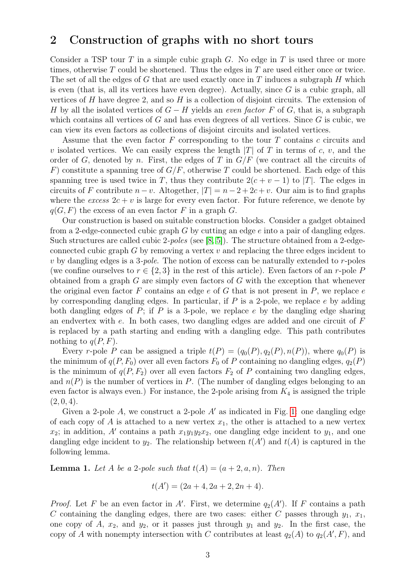### 2 Construction of graphs with no short tours

Consider a TSP tour T in a simple cubic graph  $G$ . No edge in T is used three or more times, otherwise  $T$  could be shortened. Thus the edges in  $T$  are used either once or twice. The set of all the edges of G that are used exactly once in T induces a subgraph H which is even (that is, all its vertices have even degree). Actually, since  $G$  is a cubic graph, all vertices of  $H$  have degree 2, and so  $H$  is a collection of disjoint circuits. The extension of H by all the isolated vertices of  $G - H$  yields an *even factor* F of G, that is, a subgraph which contains all vertices of  $G$  and has even degrees of all vertices. Since  $G$  is cubic, we can view its even factors as collections of disjoint circuits and isolated vertices.

Assume that the even factor  $F$  corresponding to the tour  $T$  contains  $c$  circuits and v isolated vertices. We can easily express the length  $|T|$  of T in terms of c, v, and the order of G, denoted by n. First, the edges of T in  $G/F$  (we contract all the circuits of F) constitute a spanning tree of  $G/F$ , otherwise T could be shortened. Each edge of this spanning tree is used twice in T, thus they contribute  $2(c + v - 1)$  to |T|. The edges in circuits of F contribute  $n - v$ . Altogether,  $|T| = n - 2 + 2c + v$ . Our aim is to find graphs where the excess  $2c + v$  is large for every even factor. For future reference, we denote by  $q(G, F)$  the excess of an even factor F in a graph G.

Our construction is based on suitable construction blocks. Consider a gadget obtained from a 2-edge-connected cubic graph G by cutting an edge e into a pair of dangling edges. Such structures are called cubic 2-poles (see [\[8,](#page-6-5) [5\]](#page-5-5)). The structure obtained from a 2-edgeconnected cubic graph  $G$  by removing a vertex  $v$  and replacing the three edges incident to  $v$  by dangling edges is a 3-*pole*. The notion of excess can be naturally extended to  $r$ -poles (we confine ourselves to  $r \in \{2,3\}$  in the rest of this article). Even factors of an r-pole P obtained from a graph  $G$  are simply even factors of  $G$  with the exception that whenever the original even factor F contains an edge  $e$  of G that is not present in P, we replace  $e$ by corresponding dangling edges. In particular, if  $P$  is a 2-pole, we replace  $e$  by adding both dangling edges of  $P$ ; if  $P$  is a 3-pole, we replace  $e$  by the dangling edge sharing an endvertex with e. In both cases, two dangling edges are added and one circuit of F is replaced by a path starting and ending with a dangling edge. This path contributes nothing to  $q(P, F)$ .

Every r-pole P can be assigned a triple  $t(P) = (q_0(P), q_2(P), n(P))$ , where  $q_0(P)$  is the minimum of  $q(P, F_0)$  over all even factors  $F_0$  of P containing no dangling edges,  $q_2(P)$ is the minimum of  $q(P, F_2)$  over all even factors  $F_2$  of P containing two dangling edges, and  $n(P)$  is the number of vertices in P. (The number of dangling edges belonging to an even factor is always even.) For instance, the 2-pole arising from  $K_4$  is assigned the triple  $(2, 0, 4).$ 

Given a 2-pole A, we construct a 2-pole  $A'$  as indicated in Fig. [1:](#page-3-2) one dangling edge of each copy of A is attached to a new vertex  $x_1$ , the other is attached to a new vertex  $x_2$ ; in addition, A' contains a path  $x_1y_1y_2x_2$ , one dangling edge incident to  $y_1$ , and one dangling edge incident to  $y_2$ . The relationship between  $t(A')$  and  $t(A)$  is captured in the following lemma.

<span id="page-2-0"></span>**Lemma 1.** Let A be a 2-pole such that  $t(A) = (a+2, a, n)$ . Then

$$
t(A') = (2a + 4, 2a + 2, 2n + 4).
$$

*Proof.* Let F be an even factor in A'. First, we determine  $q_2(A')$ . If F contains a path C containing the dangling edges, there are two cases: either C passes through  $y_1, x_1,$ one copy of A,  $x_2$ , and  $y_2$ , or it passes just through  $y_1$  and  $y_2$ . In the first case, the copy of A with nonempty intersection with C contributes at least  $q_2(A)$  to  $q_2(A', F)$ , and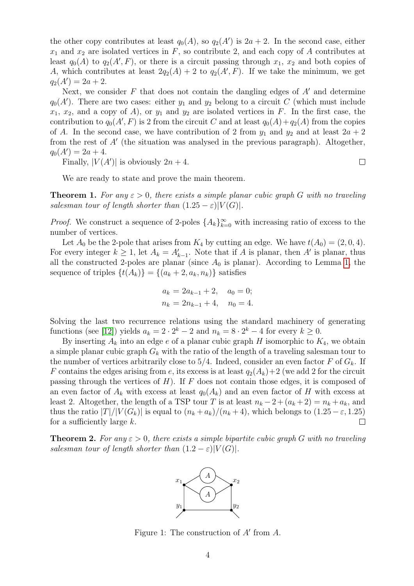the other copy contributes at least  $q_0(A)$ , so  $q_2(A')$  is  $2a + 2$ . In the second case, either  $x_1$  and  $x_2$  are isolated vertices in F, so contribute 2, and each copy of A contributes at least  $q_0(A)$  to  $q_2(A', F)$ , or there is a circuit passing through  $x_1, x_2$  and both copies of A, which contributes at least  $2q_2(A) + 2$  to  $q_2(A', F)$ . If we take the minimum, we get  $q_2(A') = 2a + 2.$ 

Next, we consider  $F$  that does not contain the dangling edges of  $A'$  and determine  $q_0(A')$ . There are two cases: either  $y_1$  and  $y_2$  belong to a circuit C (which must include  $x_1, x_2$ , and a copy of A), or  $y_1$  and  $y_2$  are isolated vertices in F. In the first case, the contribution to  $q_0(A', F)$  is 2 from the circuit C and at least  $q_0(A) + q_2(A)$  from the copies of A. In the second case, we have contribution of 2 from  $y_1$  and  $y_2$  and at least  $2a + 2$ from the rest of  $A'$  (the situation was analysed in the previous paragraph). Altogether,  $q_0(A') = 2a + 4.$ 

 $\Box$ 

Finally,  $|V(A')|$  is obviously  $2n + 4$ .

We are ready to state and prove the main theorem.

<span id="page-3-0"></span>**Theorem 1.** For any  $\varepsilon > 0$ , there exists a simple planar cubic graph G with no traveling salesman tour of length shorter than  $(1.25 - \varepsilon)|V(G)|$ .

*Proof.* We construct a sequence of 2-poles  $\{A_k\}_{k=0}^{\infty}$  with increasing ratio of excess to the number of vertices.

Let  $A_0$  be the 2-pole that arises from  $K_4$  by cutting an edge. We have  $t(A_0) = (2, 0, 4)$ . For every integer  $k \geq 1$ , let  $A_k = A'_{k-1}$ . Note that if A is planar, then A' is planar, thus all the constructed 2-poles are planar (since  $A_0$  is planar). According to Lemma [1,](#page-2-0) the sequence of triples  $\{t(A_k)\} = \{(a_k + 2, a_k, n_k)\}\$  satisfies

$$
a_k = 2a_{k-1} + 2, \quad a_0 = 0;
$$
  

$$
n_k = 2n_{k-1} + 4, \quad n_0 = 4.
$$

Solving the last two recurrence relations using the standard machinery of generating functions (see [\[12\]](#page-6-6)) yields  $a_k = 2 \cdot 2^k - 2$  and  $n_k = 8 \cdot 2^k - 4$  for every  $k \ge 0$ .

By inserting  $A_k$  into an edge e of a planar cubic graph H isomorphic to  $K_4$ , we obtain a simple planar cubic graph  $G_k$  with the ratio of the length of a traveling salesman tour to the number of vertices arbitrarily close to 5/4. Indeed, consider an even factor F of  $G_k$ . If F contains the edges arising from e, its excess is at least  $q_2(A_k)+2$  (we add 2 for the circuit passing through the vertices of  $H$ ). If  $F$  does not contain those edges, it is composed of an even factor of  $A_k$  with excess at least  $q_0(A_k)$  and an even factor of H with excess at least 2. Altogether, the length of a TSP tour T is at least  $n_k - 2 + (a_k + 2) = n_k + a_k$ , and thus the ratio  $|T|/|V(G_k)|$  is equal to  $(n_k + a_k)/(n_k + 4)$ , which belongs to  $(1.25 - \varepsilon, 1.25)$ for a sufficiently large  $k$ .  $\Box$ 

<span id="page-3-1"></span>**Theorem 2.** For any  $\varepsilon > 0$ , there exists a simple bipartite cubic graph G with no traveling salesman tour of length shorter than  $(1.2 - \varepsilon)|V(G)|$ .



<span id="page-3-2"></span>Figure 1: The construction of  $A'$  from  $A$ .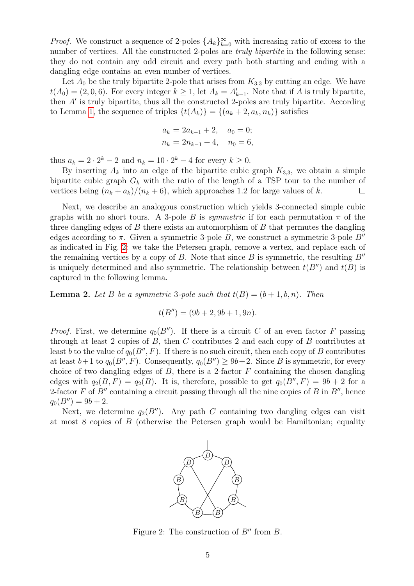*Proof.* We construct a sequence of 2-poles  $\{A_k\}_{k=0}^{\infty}$  with increasing ratio of excess to the number of vertices. All the constructed 2-poles are *truly bipartite* in the following sense: they do not contain any odd circuit and every path both starting and ending with a dangling edge contains an even number of vertices.

Let  $A_0$  be the truly bipartite 2-pole that arises from  $K_{3,3}$  by cutting an edge. We have  $t(A_0) = (2, 0, 6)$ . For every integer  $k \ge 1$ , let  $A_k = A'_{k-1}$ . Note that if A is truly bipartite, then  $A'$  is truly bipartite, thus all the constructed 2-poles are truly bipartite. According to Lemma [1,](#page-2-0) the sequence of triples  $\{t(A_k)\} = \{(a_k + 2, a_k, n_k)\}\$  satisfies

$$
a_k = 2a_{k-1} + 2, \quad a_0 = 0;
$$
  

$$
n_k = 2n_{k-1} + 4, \quad n_0 = 6,
$$

thus  $a_k = 2 \cdot 2^k - 2$  and  $n_k = 10 \cdot 2^k - 4$  for every  $k \ge 0$ .

By inserting  $A_k$  into an edge of the bipartite cubic graph  $K_{3,3}$ , we obtain a simple bipartite cubic graph  $G_k$  with the ratio of the length of a TSP tour to the number of vertices being  $(n_k + a_k)/(n_k + 6)$ , which approaches 1.2 for large values of k.  $\Box$ 

Next, we describe an analogous construction which yields 3-connected simple cubic graphs with no short tours. A 3-pole B is symmetric if for each permutation  $\pi$  of the three dangling edges of  $B$  there exists an automorphism of  $B$  that permutes the dangling edges according to  $\pi$ . Given a symmetric 3-pole B, we construct a symmetric 3-pole B'' as indicated in Fig. [2:](#page-4-0) we take the Petersen graph, remove a vertex, and replace each of the remaining vertices by a copy of B. Note that since B is symmetric, the resulting  $B''$ is uniquely determined and also symmetric. The relationship between  $t(B'')$  and  $t(B)$  is captured in the following lemma.

<span id="page-4-1"></span>**Lemma 2.** Let B be a symmetric 3-pole such that  $t(B) = (b+1, b, n)$ . Then

$$
t(B'') = (9b + 2, 9b + 1, 9n).
$$

*Proof.* First, we determine  $q_0(B'')$ . If there is a circuit C of an even factor F passing through at least 2 copies of  $B$ , then  $C$  contributes 2 and each copy of  $B$  contributes at least b to the value of  $q_0(B'', F)$ . If there is no such circuit, then each copy of B contributes at least  $b+1$  to  $q_0(B'', F)$ . Consequently,  $q_0(B'') \ge 9b+2$ . Since B is symmetric, for every choice of two dangling edges of  $B$ , there is a 2-factor  $F$  containing the chosen dangling edges with  $q_2(B, F) = q_2(B)$ . It is, therefore, possible to get  $q_0(B'', F) = 9b + 2$  for a 2-factor F of B<sup> $\prime\prime$ </sup> containing a circuit passing through all the nine copies of B in B<sup> $\prime\prime$ </sup>, hence  $q_0(B'') = 9b + 2.$ 

Next, we determine  $q_2(B'')$ . Any path C containing two dangling edges can visit at most 8 copies of B (otherwise the Petersen graph would be Hamiltonian; equality



<span id="page-4-0"></span>Figure 2: The construction of  $B''$  from  $B$ .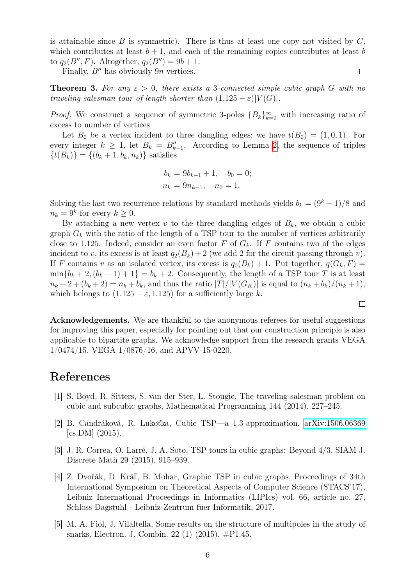is attainable since  $B$  is symmetric). There is thus at least one copy not visited by  $C$ , which contributes at least  $b + 1$ , and each of the remaining copies contributes at least b to  $q_2(B'', F)$ . Altogether,  $q_2(B'') = 9b + 1$ .

Finally,  $B''$  has obviously  $9n$  vertices.

<span id="page-5-4"></span>**Theorem 3.** For any  $\varepsilon > 0$ , there exists a 3-connected simple cubic graph G with no traveling salesman tour of length shorter than  $(1.125 - \varepsilon)|V(G)|$ .

*Proof.* We construct a sequence of symmetric 3-poles  ${B_k}_{k=0}^{\infty}$  with increasing ratio of excess to number of vertices.

Let  $B_0$  be a vertex incident to three dangling edges; we have  $t(B_0) = (1, 0, 1)$ . For every integer  $k \geq 1$ , let  $B_k = B_{k-1}''$ . According to Lemma [2,](#page-4-1) the sequence of triples  $\{t(B_k)\} = \{(b_k + 1, b_k, n_k)\}\$  satisfies

$$
b_k = 9b_{k-1} + 1, \quad b_0 = 0;
$$
  

$$
n_k = 9n_{k-1}, \quad n_0 = 1.
$$

Solving the last two recurrence relations by standard methods yields  $b_k = (9^k - 1)/8$  and  $n_k = 9^k$  for every  $k \geq 0$ .

By attaching a new vertex  $v$  to the three dangling edges of  $B_k$ , we obtain a cubic graph  $G_k$  with the ratio of the length of a TSP tour to the number of vertices arbitrarily close to 1.125. Indeed, consider an even factor  $F$  of  $G_k$ . If  $F$  contains two of the edges incident to v, its excess is at least  $q_2(B_k) + 2$  (we add 2 for the circuit passing through v). If F contains v as an isolated vertex, its excess is  $q_0(B_k) + 1$ . Put together,  $q(G_k, F) =$  $\min\{b_k + 2, (b_k + 1) + 1\} = b_k + 2$ . Consequently, the length of a TSP tour T is at least  $n_k - 2 + (b_k + 2) = n_k + b_k$ , and thus the ratio  $|T|/|V(G_K)|$  is equal to  $(n_k + b_k)/(n_k + 1)$ , which belongs to  $(1.125 - \varepsilon, 1.125)$  for a sufficiently large k.

Acknowledgements. We are thankful to the anonymous referees for useful suggestions for improving this paper, especially for pointing out that our construction principle is also applicable to bipartite graphs. We acknowledge support from the research grants VEGA 1/0474/15, VEGA 1/0876/16, and APVV-15-0220.

## References

- <span id="page-5-0"></span>[1] S. Boyd, R. Sitters, S. van der Ster, L. Stougie, The traveling salesman problem on cubic and subcubic graphs, Mathematical Programming 144 (2014), 227–245.
- <span id="page-5-2"></span>[2] B. Candráková, R. Lukoťka, Cubic TSP—a 1.3-approximation, [arXiv:1506.06369](http://arxiv.org/abs/1506.06369)  $[cs.DM]$   $(2015)$ .
- <span id="page-5-1"></span>[3] J. R. Correa, O. Larré, J. A. Soto, TSP tours in cubic graphs: Beyond 4/3, SIAM J. Discrete Math 29 (2015), 915–939.
- <span id="page-5-3"></span>[4] Z. Dvořák, D. Kráľ, B. Mohar, Graphic TSP in cubic graphs, Proceedings of 34th International Symposium on Theoretical Aspects of Computer Science (STACS'17), Leibniz International Proceedings in Informatics (LIPIcs) vol. 66, article no. 27, Schloss Dagstuhl - Leibniz-Zentrum fuer Informatik, 2017.
- <span id="page-5-5"></span>[5] M. A. Fiol, J. Vilaltella, Some results on the structure of multipoles in the study of snarks, Electron. J. Combin. 22 (1) (2015), #P1.45.

 $\Box$